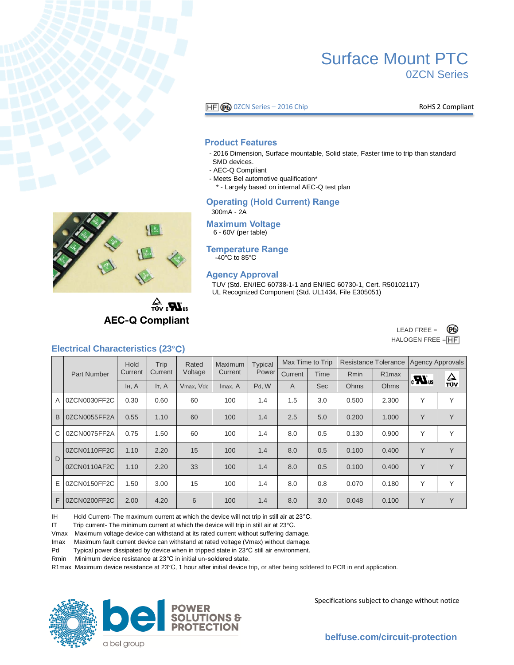

# Surface Mount PTC 0ZCN Series

 $\overline{HF}$   $\odot$  0ZCN Series – 2016 Chip Romes and RoHS 2 Compliant

#### **Product Features**

- 2016 Dimension, Surface mountable, Solid state, Faster time to trip than standard SMD devices.
- AEC-Q Compliant
- Meets Bel automotive qualification\*

\* - Largely based on internal AEC-Q test plan

#### **Operating (Hold Current) Range**

300mA - 2A

#### **Maximum Voltage** 6 - 60V (per table)

#### **Temperature Range**  $-40^{\circ}$ C to 85 $^{\circ}$ C

#### **Agency Approval**

TUV (Std. EN/IEC 60738-1-1 and EN/IEC 60730-1, Cert. R50102117) UL Recognized Component (Std. UL1434, File E305051)



 $\mathbf{R}_{\text{in}}$ **AEC-Q Compliant** 



## **Electrical Characteristics (23°C)**

|        | <b>Part Number</b> | Hold<br>Current    | Trip        | Rated<br>Voltage | Maximum<br>Current | <b>Typical</b><br>Power | Max Time to Trip |            | <b>Resistance Tolerance</b> |                    | <b>Agency Approvals</b> |                             |
|--------|--------------------|--------------------|-------------|------------------|--------------------|-------------------------|------------------|------------|-----------------------------|--------------------|-------------------------|-----------------------------|
|        |                    |                    | Current     |                  |                    |                         | Current          | Time       | <b>R</b> min                | R <sub>1</sub> max | $\boldsymbol{u}$        | $\frac{\Delta}{\text{row}}$ |
|        |                    | I <sub>H</sub> , A | $I_{T}$ , A | Vmax, Vdc        | Imax, A            | Pd. W                   | A                | <b>Sec</b> | Ohms                        | Ohms               |                         |                             |
| A      | 0ZCN0030FF2C       | 0.30               | 0.60        | 60               | 100                | 1.4                     | 1.5              | 3.0        | 0.500                       | 2.300              | Υ                       | $\checkmark$                |
| B      | 0ZCN0055FF2A       | 0.55               | 1.10        | 60               | 100                | 1.4                     | 2.5              | 5.0        | 0.200                       | 1.000              | Y                       | Y                           |
| C      | 0ZCN0075FF2A       | 0.75               | 1.50        | 60               | 100                | 1.4                     | 8.0              | 0.5        | 0.130                       | 0.900              | Y                       | $\vee$                      |
| $\Box$ | 0ZCN0110FF2C       | 1.10               | 2.20        | 15               | 100                | 1.4                     | 8.0              | 0.5        | 0.100                       | 0.400              | Y                       | Y                           |
|        | 0ZCN0110AF2C       | 1.10               | 2.20        | 33               | 100                | 1.4                     | 8.0              | 0.5        | 0.100                       | 0.400              | Y                       | Y                           |
| E      | 0ZCN0150FF2C       | 1.50               | 3.00        | 15               | 100                | 1.4                     | 8.0              | 0.8        | 0.070                       | 0.180              | Υ                       | $\checkmark$                |
| F      | 0ZCN0200FF2C       | 2.00               | 4.20        | 6                | 100                | 1.4                     | 8.0              | 3.0        | 0.048                       | 0.100              | Y                       | Y                           |

IH Hold Current- The maximum current at which the device will not trip in still air at 23°C.

IT Trip current- The minimum current at which the device will trip in still air at 23°C.

Vmax Maximum voltage device can withstand at its rated current without suffering damage.

Imax Maximum fault current device can withstand at rated voltage (Vmax) without damage.

Pd Typical power dissipated by device when in tripped state in 23°C still air environment.

Rmin Minimum device resistance at 23°C in initial un-soldered state.

R1max Maximum device resistance at 23° C, 1 hour after initial device trip, or after being soldered to PCB in end application.





Specifications subject to change without notice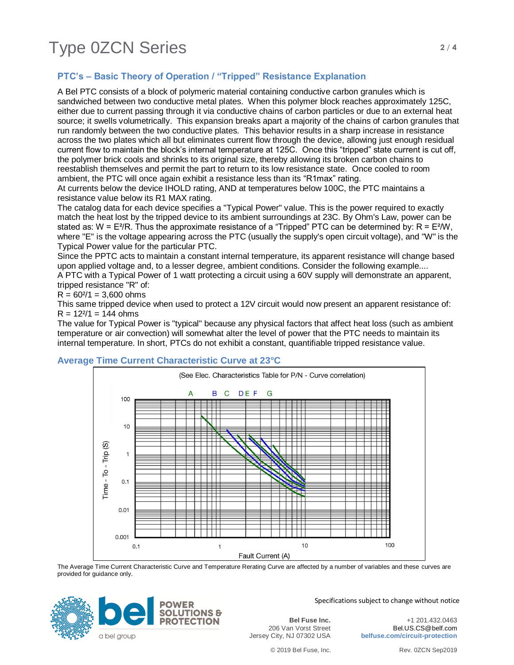# Type 0ZCN Series **2/4**

## **PTC's – Basic Theory of Operation / "Tripped" Resistance Explanation**

A Bel PTC consists of a block of polymeric material containing conductive carbon granules which is sandwiched between two conductive metal plates. When this polymer block reaches approximately 125C, either due to current passing through it via conductive chains of carbon particles or due to an external heat source; it swells volumetrically. This expansion breaks apart a majority of the chains of carbon granules that run randomly between the two conductive plates. This behavior results in a sharp increase in resistance across the two plates which all but eliminates current flow through the device, allowing just enough residual current flow to maintain the block's internal temperature at 125C. Once this "tripped" state current is cut off, the polymer brick cools and shrinks to its original size, thereby allowing its broken carbon chains to reestablish themselves and permit the part to return to its low resistance state. Once cooled to room ambient, the PTC will once again exhibit a resistance less than its "R1max" rating.

At currents below the device IHOLD rating, AND at temperatures below 100C, the PTC maintains a resistance value below its R1 MAX rating.

The catalog data for each device specifies a "Typical Power" value. This is the power required to exactly match the heat lost by the tripped device to its ambient surroundings at 23C. By Ohm's Law, power can be stated as: W = E<sup>2</sup>/R. Thus the approximate resistance of a "Tripped" PTC can be determined by: R = E<sup>2</sup>/W, where "E" is the voltage appearing across the PTC (usually the supply's open circuit voltage), and "W" is the Typical Power value for the particular PTC.

Since the PPTC acts to maintain a constant internal temperature, its apparent resistance will change based upon applied voltage and, to a lesser degree, ambient conditions. Consider the following example....

A PTC with a Typical Power of 1 watt protecting a circuit using a 60V supply will demonstrate an apparent, tripped resistance "R" of:

 $R = 60<sup>2</sup>/1 = 3,600$  ohms

This same tripped device when used to protect a 12V circuit would now present an apparent resistance of:  $R = 12^{2}/1 = 144$  ohms

The value for Typical Power is "typical" because any physical factors that affect heat loss (such as ambient temperature or air convection) will somewhat alter the level of power that the PTC needs to maintain its internal temperature. In short, PTCs do not exhibit a constant, quantifiable tripped resistance value.



### **Average Time Current Characteristic Curve at 23°C**

The Average Time Current Characteristic Curve and Temperature Rerating Curve are affected by a number of variables and these curves are provided for guidance only.



Specifications subject to change without notice

**Bel Fuse Inc.** 206 Van Vorst Street Jersey City, NJ 07302 USA

+1 201.432.0463 Bel.US.CS@belf.com **belfuse.com/circuit-protection**

© 2019 Bel Fuse, Inc. Rev. 0ZCN Sep2019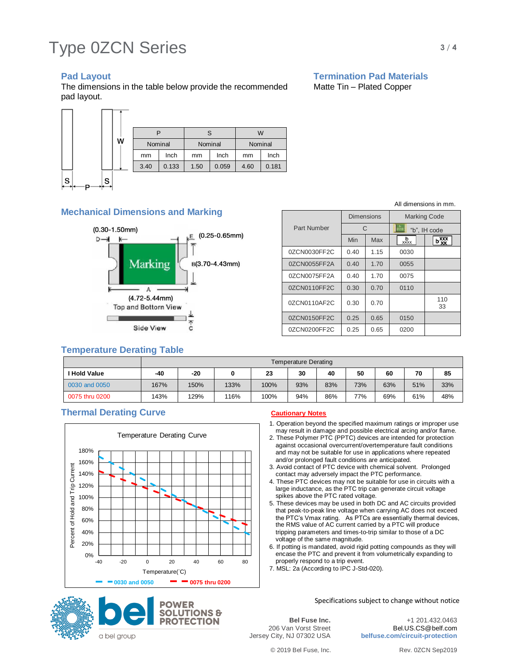# Type 0ZCN Series **3/4**

The dimensions in the table below provide the recommended Matte Tin – Plated Copper pad layout.

### **Pad Layout Community Community Community Pad Materials**



### **Mechanical Dimensions and Marking**



### **Tempe**

| Side View                        |      |      |      |      |                      | 0ZCN0200FF2C | 0.25 | 0.65 | 0200 |     |  |
|----------------------------------|------|------|------|------|----------------------|--------------|------|------|------|-----|--|
| <b>Emperature Derating Table</b> |      |      |      |      |                      |              |      |      |      |     |  |
|                                  |      |      |      |      | Temperature Derating |              |      |      |      |     |  |
| I Hold Value                     | -40  | -20  | 0    | 23   | 30                   | 40           | 50   | 60   | 70   | 85  |  |
| 0030 and 0050                    | 167% | 150% | 133% | 100% | 93%                  | 83%          | 73%  | 63%  | 51%  | 33% |  |
|                                  |      |      |      |      |                      |              |      |      |      |     |  |

0075 thru 0200 | 143% | 129% | 116% | 100% | 94% | 86% | 77% | 69% | 61% | 48%

### **Thermal Derating Curve Cautionary Notes**





1. Operation beyond the specified maximum ratings or improper use may result in damage and possible electrical arcing and/or flame.

- 2. These Polymer PTC (PPTC) devices are intended for protection against occasional overcurrent/overtemperature fault conditions and may not be suitable for use in applications where repeated and/or prolonged fault conditions are anticipated.
- 3. Avoid contact of PTC device with chemical solvent. Prolonged contact may adversely impact the PTC performance.
- 4. These PTC devices may not be suitable for use in circuits with a large inductance, as the PTC trip can generate circuit voltage spikes above the PTC rated voltage.
- 5. These devices may be used in both DC and AC circuits provided that peak-to-peak line voltage when carrying AC does not exceed the PTC's Vmax rating. As PTCs are essentially thermal devices, the RMS value of AC current carried by a PTC will produce tripping parameters and times-to-trip similar to those of a DC voltage of the same magnitude.
- 6. If potting is mandated, avoid rigid potting compounds as they will encase the PTC and prevent it from volumetrically expanding to properly respond to a trip event.
- 7. MSL: 2a (According to IPC J-Std-020).

Specifications subject to change without notice

**Bel Fuse Inc.** 206 Van Vorst Street Jersey City, NJ 07302 USA

+1 201.432.0463 Bel.US.CS@belf.com **belfuse.com/circuit-protection**

© 2019 Bel Fuse, Inc. Rev. 0ZCN Sep2019

All dimensions in mm.

|              | Dimensions |      | <b>Marking Code</b> |           |  |  |
|--------------|------------|------|---------------------|-----------|--|--|
| Part Number  | C          |      | "b", IH code        |           |  |  |
|              | Min        | Max  | $\frac{b}{x}$       | ьœ        |  |  |
| 0ZCN0030FF2C | 0.40       | 1.15 | 0030                |           |  |  |
| 0ZCN0055FF2A | 0.40       | 1.70 | 0055                |           |  |  |
| 0ZCN0075FF2A | 0.40       | 1.70 | 0075                |           |  |  |
| 0ZCN0110FF2C | 0.30       | 0.70 | 0110                |           |  |  |
| 0ZCN0110AF2C | 0.30       | 0.70 |                     | 110<br>33 |  |  |
| 0ZCN0150FF2C | 0.25       | 0.65 | 0150                |           |  |  |
| 0ZCN0200FF2C | 0.25       | 0.65 | 0200                |           |  |  |